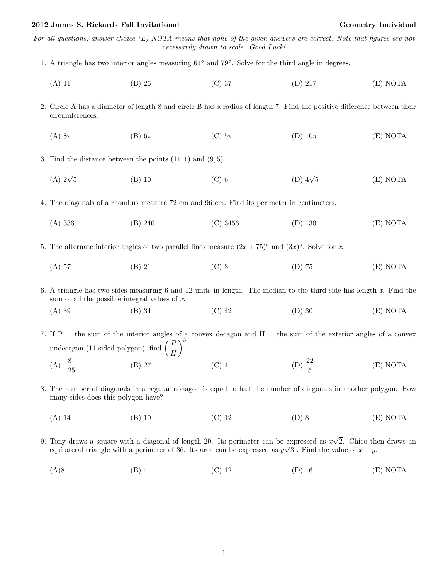For all questions, answer choice (E) NOTA means that none of the given answers are correct. Note that figures are not necessarily drawn to scale. Good Luck!

- 1. A triangle has two interior angles measuring 64◦ and 79◦ . Solve for the third angle in degrees.
	- (A) 11 (B) 26 (C) 37 (D) 217 (E) NOTA
- 2. Circle A has a diameter of length 8 and circle B has a radius of length 7. Find the positive difference between their circumferences.
	- (A) 8 $\pi$  (B) 6 $\pi$  (C)  $5\pi$  (D)  $10\pi$  (E) NOTA

3. Find the distance between the points  $(11, 1)$  and  $(9, 5)$ .

- $(A)$   $2\sqrt{5}$ 5 (B) 10 (C) 6 (D) 4 $\sqrt$ (D)  $4\sqrt{5}$  (E) NOTA
- 4. The diagonals of a rhombus measure 72 cm and 96 cm. Find its perimeter in centimeters.
	- (A) 336 (B) 240 (C) 3456 (D) 130 (E) NOTA
- 5. The alternate interior angles of two parallel lines measure  $(2x+75)^\circ$  and  $(3x)^\circ$ . Solve for x.
	- (A) 57 (B) 21 (C) 3 (D) 75 (E) NOTA

6. A triangle has two sides measuring 6 and 12 units in length. The median to the third side has length x. Find the sum of all the possible integral values of  $x$ .

(A) 39 (B) 34 (C) 42 (D) 30 (E) NOTA

7. If  $P =$  the sum of the interior angles of a convex decagon and  $H =$  the sum of the exterior angles of a convex undecagon (11-sided polygon), find  $\left(\frac{P}{P}\right)$ H  $\setminus^3$ .  $(A) \frac{8}{125}$ (B) 27 (C) 4 (D)  $\frac{22}{5}$ (E) NOTA

- 8. The number of diagonals in a regular nonagon is equal to half the number of diagonals in another polygon. How many sides does this polygon have?
	- (A) 14 (B) 10 (C) 12 (D) 8 (E) NOTA
- 9. Tony draws a square with a diagonal of length 20. Its perimeter can be expressed as  $x$ √ expressed as  $x\sqrt{2}$ . Chico then draws an equilateral triangle with a perimeter of 36. Its area can be expressed as  $y\sqrt{3}$ . Find the value of  $x - y$ .
	- (A)8 (B) 4 (C) 12 (D) 16 (E) NOTA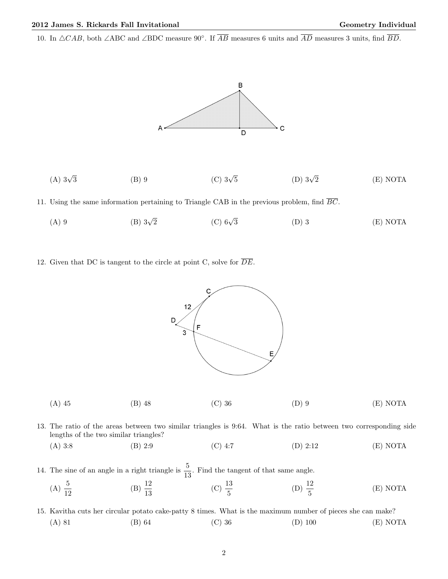10. In  $\triangle CAB$ , both ∠ABC and ∠BDC measure 90°. If  $\overline{AB}$  measures 6 units and  $\overline{AD}$  measures 3 units, find  $\overline{BD}$ .



(A)  $3\sqrt{3}$ (B) 9 (C)  $3\sqrt{5}$ (D)  $3\sqrt{2}$ (E) NOTA

11. Using the same information pertaining to Triangle CAB in the previous problem, find  $\overline{BC}$ .

- (A) 9 (B)  $3\sqrt{2}$  $(C)$  6 $\sqrt{3}$ 3 (D) 3 (E) NOTA
- 12. Given that DC is tangent to the circle at point C, solve for  $\overline{DE}$ .



- 13. The ratio of the areas between two similar triangles is 9:64. What is the ratio between two corresponding side lengths of the two similar triangles?
	- (A) 3:8 (B) 2:9 (C) 4:7 (D) 2:12 (E) NOTA

14. The sine of an angle in a right triangle is  $\frac{5}{13}$ . Find the tangent of that same angle.

- (A)  $\frac{5}{12}$ (B)  $\frac{12}{13}$ (C)  $\frac{13}{5}$ (D)  $\frac{12}{5}$ (E) NOTA
- 15. Kavitha cuts her circular potato cake-patty 8 times. What is the maximum number of pieces she can make? (A) 81 (B) 64 (C) 36 (D) 100 (E) NOTA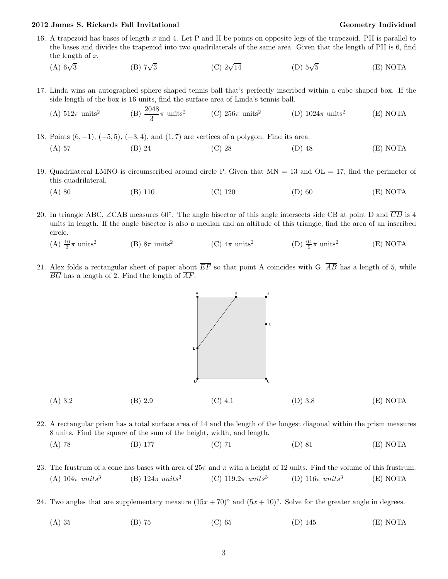## 2012 James S. Rickards Fall Invitational Christian Communication Ceometry Individual Geometry Individual

- 16. A trapezoid has bases of length x and 4. Let P and H be points on opposite legs of the trapezoid. PH is parallel to the bases and divides the trapezoid into two quadrilaterals of the same area. Given that the length of PH is 6, find the length of x.
	- $(A)$  6 $\sqrt{3}$  $(B)$  7 $\sqrt{3}$ (C)  $2\sqrt{14}$ (D)  $5\sqrt{5}$ 5 (E) NOTA
- 17. Linda wins an autographed sphere shaped tennis ball that's perfectly inscribed within a cube shaped box. If the side length of the box is 16 units, find the surface area of Linda's tennis ball.  $0.48$

(A) 
$$
512\pi
$$
 units<sup>2</sup> (B)  $\frac{2048}{3}\pi$  units<sup>2</sup> (C)  $256\pi$  units<sup>2</sup> (D)  $1024\pi$  units<sup>2</sup> (E) NOTA

18. Points (6, −1), (−5, 5), (−3, 4), and (1, 7) are vertices of a polygon. Find its area. (A) 57 (B) 24 (C) 28 (D) 48 (E) NOTA

- 19. Quadrilateral LMNO is circumscribed around circle P. Given that MN = 13 and OL = 17, find the perimeter of this quadrilateral.
	- (A) 80 (B) 110 (C) 120 (D) 60 (E) NOTA
- 20. In triangle ABC, ∠CAB measures 60°. The angle bisector of this angle intersects side CB at point D and  $\overline{CD}$  is 4 units in length. If the angle bisector is also a median and an altitude of this triangle, find the area of an inscribed circle.
	- (A)  $\frac{16}{3}\pi$  units<sup>2</sup> (B)  $8\pi$  units<sup>2</sup> (C)  $4\pi$  units<sup>2</sup> (D)  $\frac{64}{9}\pi$  units<sup>2</sup> (E) NOTA
- 21. Alex folds a rectangular sheet of paper about  $\overline{EF}$  so that point A coincides with G.  $\overline{AB}$  has a length of 5, while  $\overline{BG}$  has a length of 2. Find the length of  $\overline{AF}$ .



- 22. A rectangular prism has a total surface area of 14 and the length of the longest diagonal within the prism measures 8 units. Find the square of the sum of the height, width, and length. (A) 78 (B) 177 (C) 71 (D) 81 (E) NOTA
	-
- 23. The frustrum of a cone has bases with area of  $25\pi$  and  $\pi$  with a height of 12 units. Find the volume of this frustrum. (A)  $104\pi$  units<sup>3</sup> (B)  $124\pi$  units<sup>3</sup> (C)  $119.2\pi$  units<sup>3</sup> (D)  $116\pi \ units^3$ (E) NOTA
- 24. Two angles that are supplementary measure  $(15x + 70)°$  and  $(5x + 10)°$ . Solve for the greater angle in degrees.
	- (A) 35 (B) 75 (C) 65 (D) 145 (E) NOTA